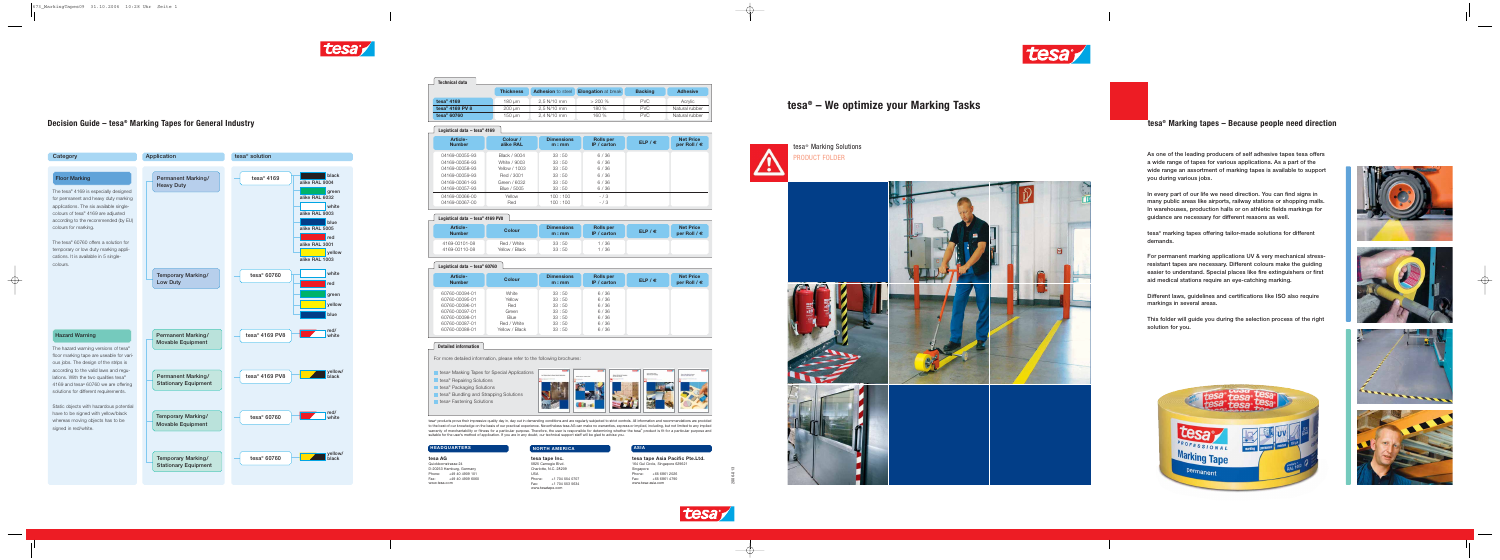|  |  | Decision Guide – tesa <sup>®</sup> Marking Tapes for General Industry |
|--|--|-----------------------------------------------------------------------|
|--|--|-----------------------------------------------------------------------|



tesa<sup>®</sup> Marking Solutions PRODUCT FOLDER

to the best of our knowledge on the basis of our practical experience. Nevertheless tesa AG can make no warranties, express or implied, including, but not limited to any implied warranty of merchantability or fitness for a particular purpose. Therefore, the user is responsible for determining whether the tesa® product is fit for a particular purpose and<br>suitable for the user's method of applicatio

## **tesa® Marking tapes – Because people need direction**

**tesa® – We optimize your Marking Tasks**





### **NORTH AMERICA**

**tesa tape Inc.** 5825 Carnegie Blvd. Charlotte, N.C. 28209

USA Phone: +1 704 554 0707 Fax: +1 704 553 5634 www.tesatape.com

| tesa tape Asia Pacific Pte.Ltd. |                                  |  |  |  |  |
|---------------------------------|----------------------------------|--|--|--|--|
|                                 | 164 Gul Circle, Singapore 629621 |  |  |  |  |
| Singapore                       |                                  |  |  |  |  |
|                                 | Phone: +65 6861 2026             |  |  |  |  |
| Fax:                            | +65 6861 4790                    |  |  |  |  |
| www.tesa-asia.com               |                                  |  |  |  |  |

 $\longrightarrow$ 



| tesa AG                  |  |  |
|--------------------------|--|--|
| Quickbornstrasse 24      |  |  |
| D-20253 Hamburg, Germany |  |  |
| Phone: +49 40 4909 101   |  |  |
| +49 40 4909 6060<br>Fax: |  |  |
| www.tesa.com             |  |  |

2006-013

 $\rightarrow$ 

| <b>Technical data</b>    |                  |                          |                            |                |                 |
|--------------------------|------------------|--------------------------|----------------------------|----------------|-----------------|
|                          | <b>Thickness</b> | <b>Adhesion</b> to steel | <b>Elongation</b> at break | <b>Backing</b> | <b>Adhesive</b> |
| tesa <sup>®</sup> 4169   | 180 um           | $2.5$ N/10 mm            | $> 200\%$                  | <b>PVC</b>     | Acrylic         |
| tesa $\degree$ 4169 PV 8 | 200 um           | $2.5$ N/10 mm            | 180 %                      | <b>PVC</b>     | Natural rubber  |
| tesa $\degree$ 60760     | 150 um           | $2.4$ N/10 mm            | 160 %                      | <b>PVC</b>     | Natural rubber  |



| Logistical data $-$ tesa $\degree$ 4169 PV8 |                               |                           |                                 |                  |                                           |  |  |
|---------------------------------------------|-------------------------------|---------------------------|---------------------------------|------------------|-------------------------------------------|--|--|
| <b>Article-</b><br><b>Number</b>            | <b>Colour</b>                 | <b>Dimensions</b><br>m:mm | <b>Rolls per</b><br>IP / carton | ELP / $\epsilon$ | <b>Net Price</b><br>per Roll / $\epsilon$ |  |  |
| 4169-00101-08<br>4169-00110-08              | Red / White<br>Yellow / Black | 33:50<br>33:50            | 1/36<br>1 / 36                  |                  |                                           |  |  |

| Logistical data $-$ tesa $\degree$ 60760                                                                                   |                                                                          |                                                             |                                                      |                  |                                           |
|----------------------------------------------------------------------------------------------------------------------------|--------------------------------------------------------------------------|-------------------------------------------------------------|------------------------------------------------------|------------------|-------------------------------------------|
| Article-<br><b>Number</b>                                                                                                  | Colour                                                                   | <b>Dimensions</b><br>m:mm                                   | <b>Rolls per</b><br>IP / carton                      | ELP / $\epsilon$ | <b>Net Price</b><br>per Roll / $\epsilon$ |
| 60760-00094-01<br>60760-00095-01<br>60760-00096-01<br>60760-00097-01<br>60760-00098-01<br>60760-00087-01<br>60760-00088-01 | White<br>Yellow<br>Red<br>Green<br>Blue<br>Red / White<br>Yellow / Black | 33:50<br>33:50<br>33:50<br>33:50<br>33:50<br>33:50<br>33:50 | 6/36<br>6/36<br>6/36<br>6/36<br>6/36<br>6/36<br>6/36 |                  |                                           |

| Logistical data $-$ tesa <sup>®</sup> 4169 |                       |                           |                                 |                  |                                           |  |
|--------------------------------------------|-----------------------|---------------------------|---------------------------------|------------------|-------------------------------------------|--|
| <b>Article-</b><br><b>Number</b>           | Colour /<br>alike RAL | <b>Dimensions</b><br>m:mm | <b>Rolls per</b><br>IP / carton | ELP / $\epsilon$ | <b>Net Price</b><br>per Roll / $\epsilon$ |  |
| 04169-00055-93                             | Black / 9004          | 33:50                     | 6/36                            |                  |                                           |  |
| 04169-00056-93                             | White / 9003          | 33:50                     | 6/36                            |                  |                                           |  |
| 04169-00058-93                             | Yellow / 1003         | 33:50                     | 6/36                            |                  |                                           |  |
| 04169-00059-93                             | Red / 3001            | 33:50                     | 6/36                            |                  |                                           |  |
| 04169-00061-93                             | Green / 6032          | 33:50                     | 6/36                            |                  |                                           |  |
| 04169-00057-93                             | Blue / 5005           | 33:50                     | 6/36                            |                  |                                           |  |
| 04169-00066-00                             | Yellow                | 100:100                   | $- / 3$                         |                  |                                           |  |
| 04169-00067-00                             | Red                   | 100:100                   | $- / 3$                         |                  |                                           |  |

As one of the leading producers of self adhesive tapes tesa offers a wide range of tapes for various applications. As a part of the wide range an assortment of marking tapes is available to support you during various jobs.

In every part of our life we need direction. You can find signs in many public areas like airports, railway stations or shopping malls. In warehouses, production halls or on athletic fields markings for guidance are necessary for different reasons as well.

tesa® marking tapes offering tailor-made solutions for different demands.

For permanent marking applications UV & very mechanical stressresistant tapes are necessary. Different colours make the guiding easier to understand. Special places like fire extinguishers or first aid medical stations require an eye-catching marking.

Different laws, guidelines and certifications like ISO also require markings in several areas.

This folder will guide you during the selection process of the right solution for you.











 $\bigoplus$